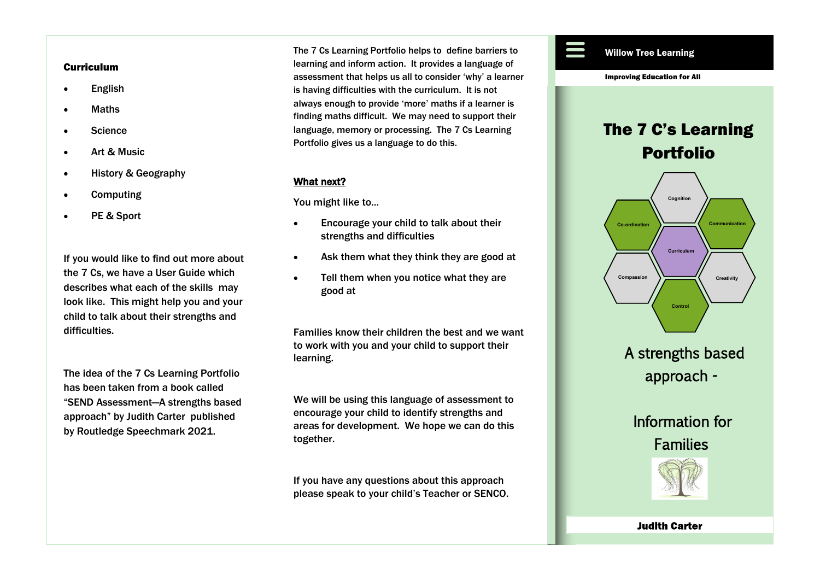#### **Curriculum**

- English
- Maths
- Science
- Art & Music
- History & Geography
- **Computing**
- PE & Sport

If you would like to find out more about the 7 Cs, we have a User Guide which describes what each of the skills may look like. This might help you and your child to talk about their strengths and difficulties.

The idea of the 7 Cs Learning Portfolio has been taken from a book called "SEND Assessment—A strengths based approach" by Judith Carter published by Routledge Speechmark 2021.

The 7 Cs Learning Portfolio helps to define barriers to Willow Tree Learning learning and inform action. It provides a language of assessment that helps us all to consider 'why' a learner is having difficulties with the curriculum. It is not always enough to provide 'more' maths if a learner is finding maths difficult. We may need to support their language, memory or processing. The 7 Cs Learning Portfolio gives us a language to do this.

#### What next?

You might like to...

- Encourage your child to talk about their strengths and difficulties
- Ask them what they think they are good at
- Tell them when you notice what they are good at

Families know their children the best and we want to work with you and your child to support their learning.

We will be using this language of assessment to encourage your child to identify strengths and areas for development. We hope we can do this together.

If you have any questions about this approach please speak to your child's Teacher or SENCO.



**Judith Carter**